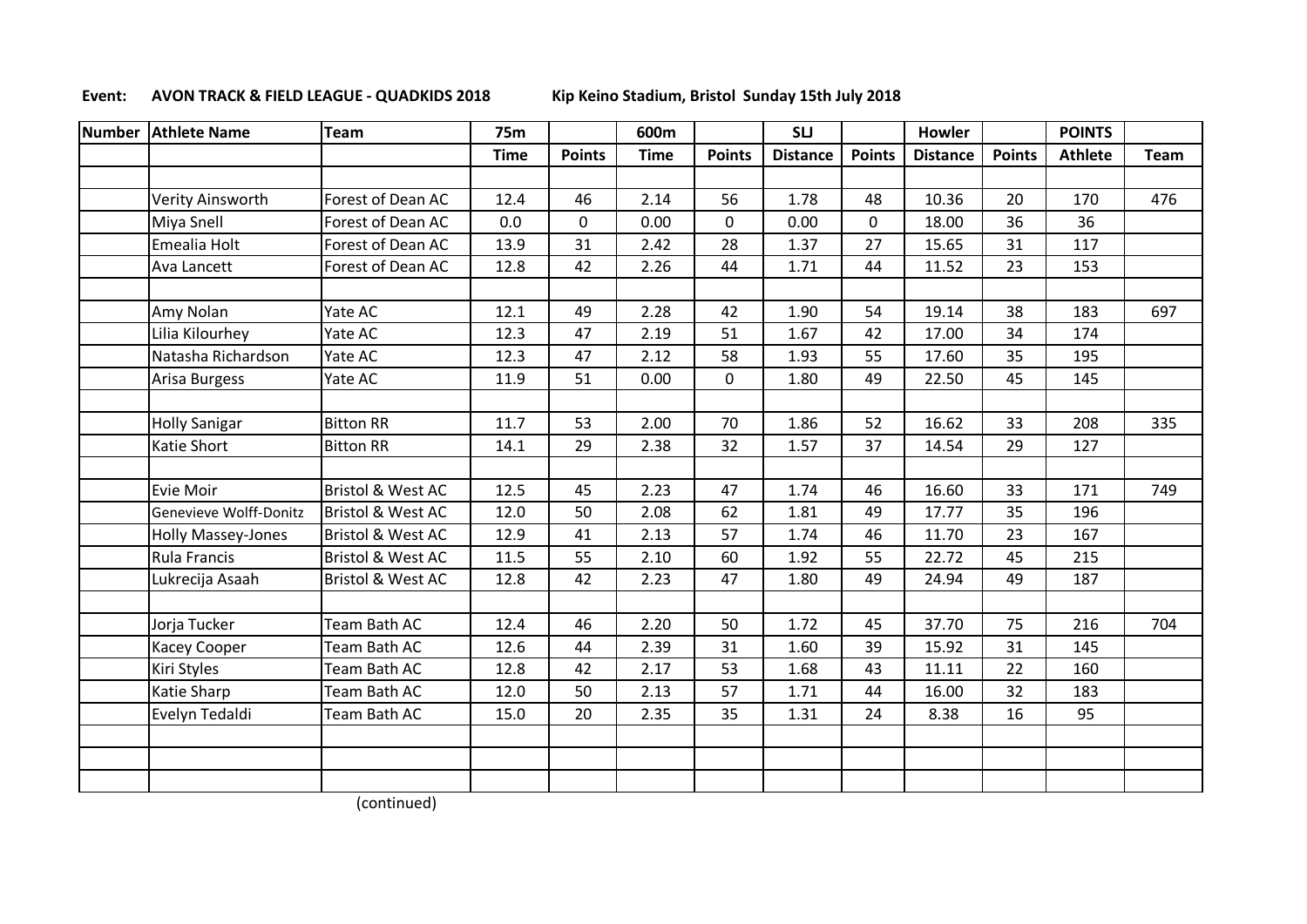## **Event: AVON TRACK & FIELD LEAGUE - QUADKIDS 2018 Kip Keino Stadium, Bristol Sunday 15th July 2018**

| <b>Number</b> | <b>Athlete Name</b>    | <b>Team</b>                  | <b>75m</b>  |               | 600m        |               | <b>SLJ</b>      |               | <b>Howler</b>   |               | <b>POINTS</b>  |      |
|---------------|------------------------|------------------------------|-------------|---------------|-------------|---------------|-----------------|---------------|-----------------|---------------|----------------|------|
|               |                        |                              | <b>Time</b> | <b>Points</b> | <b>Time</b> | <b>Points</b> | <b>Distance</b> | <b>Points</b> | <b>Distance</b> | <b>Points</b> | <b>Athlete</b> | Team |
|               |                        |                              |             |               |             |               |                 |               |                 |               |                |      |
|               | Verity Ainsworth       | Forest of Dean AC            | 12.4        | 46            | 2.14        | 56            | 1.78            | 48            | 10.36           | 20            | 170            | 476  |
|               | <b>Miya Snell</b>      | Forest of Dean AC            | 0.0         | $\mathbf{0}$  | 0.00        | $\mathbf 0$   | 0.00            | $\mathbf 0$   | 18.00           | 36            | 36             |      |
|               | Emealia Holt           | Forest of Dean AC            | 13.9        | 31            | 2.42        | 28            | 1.37            | 27            | 15.65           | 31            | 117            |      |
|               | Ava Lancett            | Forest of Dean AC            | 12.8        | 42            | 2.26        | 44            | 1.71            | 44            | 11.52           | 23            | 153            |      |
|               | Amy Nolan              | Yate AC                      | 12.1        | 49            | 2.28        | 42            | 1.90            | 54            | 19.14           | 38            | 183            | 697  |
|               | Lilia Kilourhey        | Yate AC                      | 12.3        | 47            | 2.19        | 51            | 1.67            | 42            | 17.00           | 34            | 174            |      |
|               | Natasha Richardson     | Yate AC                      | 12.3        | 47            | 2.12        | 58            | 1.93            | 55            | 17.60           | 35            | 195            |      |
|               | Arisa Burgess          | Yate AC                      | 11.9        | 51            | 0.00        | $\mathbf 0$   | 1.80            | 49            | 22.50           | 45            | 145            |      |
|               |                        |                              |             |               |             |               |                 |               |                 |               |                |      |
|               | <b>Holly Sanigar</b>   | <b>Bitton RR</b>             | 11.7        | 53            | 2.00        | 70            | 1.86            | 52            | 16.62           | 33            | 208            | 335  |
|               | Katie Short            | <b>Bitton RR</b>             | 14.1        | 29            | 2.38        | 32            | 1.57            | 37            | 14.54           | 29            | 127            |      |
|               |                        |                              |             |               |             |               |                 |               |                 |               |                |      |
|               | Evie Moir              | <b>Bristol &amp; West AC</b> | 12.5        | 45            | 2.23        | 47            | 1.74            | 46            | 16.60           | 33            | 171            | 749  |
|               | Genevieve Wolff-Donitz | <b>Bristol &amp; West AC</b> | 12.0        | 50            | 2.08        | 62            | 1.81            | 49            | 17.77           | 35            | 196            |      |
|               | Holly Massey-Jones     | <b>Bristol &amp; West AC</b> | 12.9        | 41            | 2.13        | 57            | 1.74            | 46            | 11.70           | 23            | 167            |      |
|               | Rula Francis           | <b>Bristol &amp; West AC</b> | 11.5        | 55            | 2.10        | 60            | 1.92            | 55            | 22.72           | 45            | 215            |      |
|               | Lukrecija Asaah        | <b>Bristol &amp; West AC</b> | 12.8        | 42            | 2.23        | 47            | 1.80            | 49            | 24.94           | 49            | 187            |      |
|               | Jorja Tucker           | Team Bath AC                 | 12.4        | 46            | 2.20        | 50            | 1.72            | 45            | 37.70           | 75            | 216            | 704  |
|               | Kacey Cooper           | Team Bath AC                 | 12.6        | 44            | 2.39        | 31            | 1.60            | 39            | 15.92           | 31            | 145            |      |
|               | Kiri Styles            | Team Bath AC                 | 12.8        | 42            | 2.17        | 53            | 1.68            | 43            | 11.11           | 22            | 160            |      |
|               | Katie Sharp            | Team Bath AC                 | 12.0        | 50            | 2.13        | 57            | 1.71            | 44            | 16.00           | 32            | 183            |      |
|               | Evelyn Tedaldi         | Team Bath AC                 | 15.0        | 20            | 2.35        | 35            | 1.31            | 24            | 8.38            | 16            | 95             |      |
|               |                        |                              |             |               |             |               |                 |               |                 |               |                |      |
|               |                        |                              |             |               |             |               |                 |               |                 |               |                |      |
|               |                        |                              |             |               |             |               |                 |               |                 |               |                |      |

(continued)